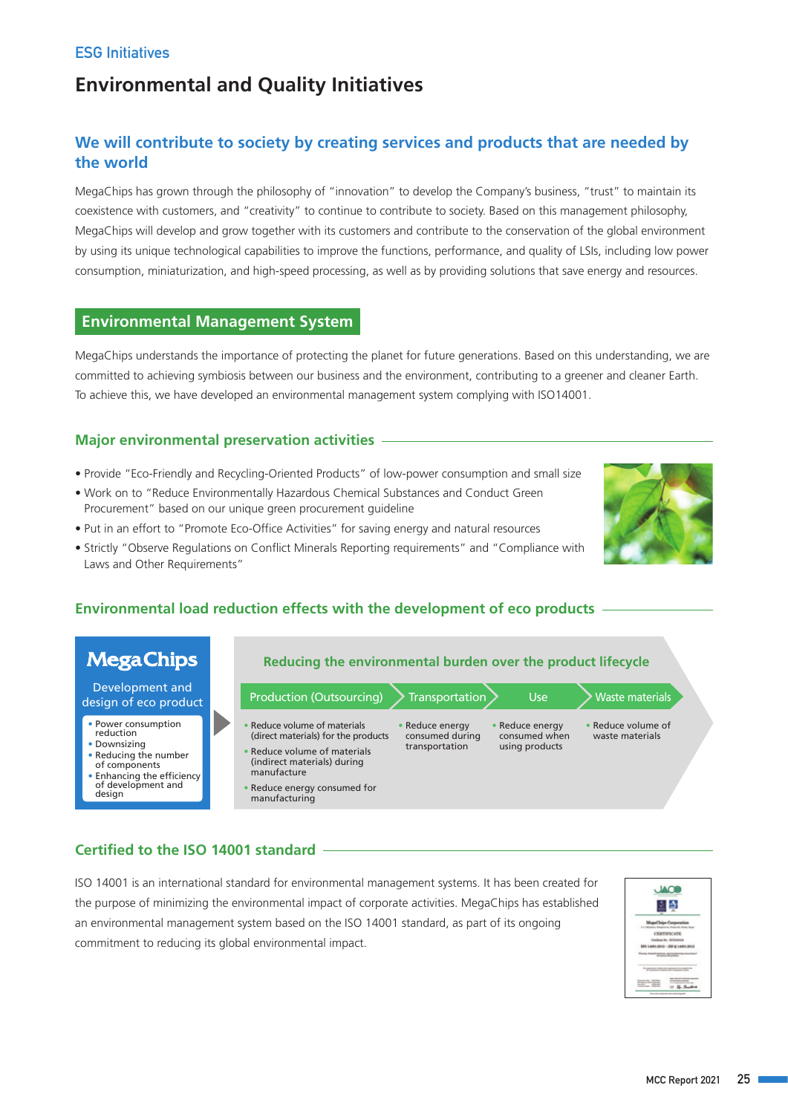# **ESG Initiatives**

# **Environmental and Quality Initiatives**

# **We will contribute to society by creating services and products that are needed by the world**

MegaChips has grown through the philosophy of "innovation" to develop the Company's business, "trust" to maintain its coexistence with customers, and "creativity" to continue to contribute to society. Based on this management philosophy, MegaChips will develop and grow together with its customers and contribute to the conservation of the global environment by using its unique technological capabilities to improve the functions, performance, and quality of LSIs, including low power consumption, miniaturization, and high-speed processing, as well as by providing solutions that save energy and resources.

# **Environmental Management System**

MegaChips understands the importance of protecting the planet for future generations. Based on this understanding, we are committed to achieving symbiosis between our business and the environment, contributing to a greener and cleaner Earth. To achieve this, we have developed an environmental management system complying with ISO14001.

# **Major environmental preservation activities**

- Provide "Eco-Friendly and Recycling-Oriented Products" of low-power consumption and small size
- Work on to "Reduce Environmentally Hazardous Chemical Substances and Conduct Green Procurement" based on our unique green procurement guideline
- Put in an effort to "Promote Eco-Office Activities" for saving energy and natural resources
- Strictly "Observe Regulations on Conflict Minerals Reporting requirements" and "Compliance with Laws and Other Requirements"

# **Environmental load reduction effects with the development of eco products**



# **Certified to the ISO 14001 standard**

ISO 14001 is an international standard for environmental management systems. It has been created for the purpose of minimizing the environmental impact of corporate activities. MegaChips has established an environmental management system based on the ISO 14001 standard, as part of its ongoing commitment to reducing its global environmental impact.